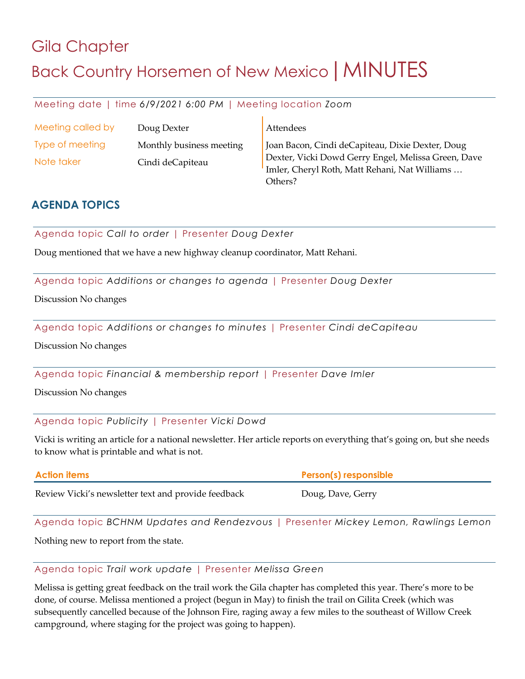## Gila Chapter Back Country Horsemen of New Mexico | MINUTES

Meeting date | time *6/9/2021 6:00 PM* | Meeting location *Zoom*

| Meeting called by | Doug Dexter              | Attendees                                                                                            |
|-------------------|--------------------------|------------------------------------------------------------------------------------------------------|
| Type of meeting   | Monthly business meeting | Joan Bacon, Cindi deCapiteau, Dixie Dexter, Doug                                                     |
| Note taker        | Cindi deCapiteau         | Dexter, Vicki Dowd Gerry Engel, Melissa Green, Dave<br>Imler, Cheryl Roth, Matt Rehani, Nat Williams |
|                   |                          | Others?                                                                                              |

## **AGENDA TOPICS**

Agenda topic *Call to order* | Presenter *Doug Dexter*

Doug mentioned that we have a new highway cleanup coordinator, Matt Rehani.

Agenda topic *Additions or changes to agenda* | Presenter *Doug Dexter*

Discussion No changes

Agenda topic *Additions or changes to minutes* | Presenter *Cindi deCapiteau*

Discussion No changes

Agenda topic *Financial & membership report* | Presenter *Dave Imler*

Discussion No changes

Agenda topic *Publicity* | Presenter *Vicki Dowd*

Vicki is writing an article for a national newsletter. Her article reports on everything that's going on, but she needs to know what is printable and what is not.

| <b>Action items</b>                                 | Person(s) responsible |
|-----------------------------------------------------|-----------------------|
| Review Vicki's newsletter text and provide feedback | Doug, Dave, Gerry     |

Agenda topic *BCHNM Updates and Rendezvous* | Presenter *Mickey Lemon, Rawlings Lemon*

Nothing new to report from the state.

Agenda topic *Trail work update* | Presenter *Melissa Green*

Melissa is getting great feedback on the trail work the Gila chapter has completed this year. There's more to be done, of course. Melissa mentioned a project (begun in May) to finish the trail on Gilita Creek (which was subsequently cancelled because of the Johnson Fire, raging away a few miles to the southeast of Willow Creek campground, where staging for the project was going to happen).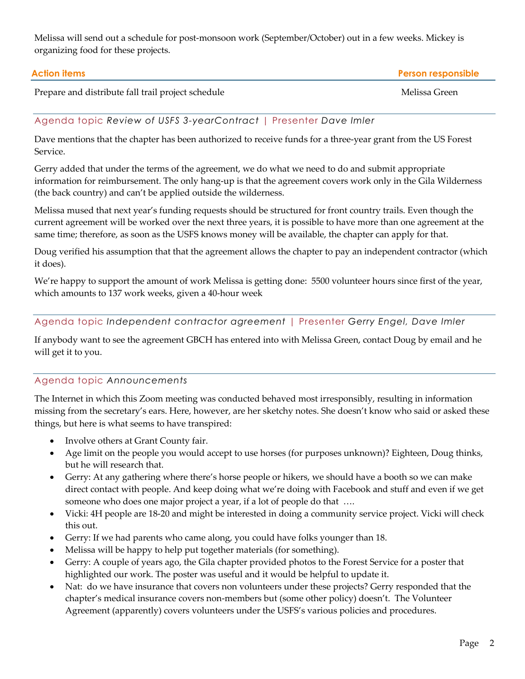Melissa will send out a schedule for post-monsoon work (September/October) out in a few weeks. Mickey is organizing food for these projects.

| Action items                                       | <b>Person responsible</b> |
|----------------------------------------------------|---------------------------|
| Prepare and distribute fall trail project schedule | Melissa Green             |

## Agenda topic *Review of USFS 3-yearContract* | Presenter *Dave Imler*

Dave mentions that the chapter has been authorized to receive funds for a three-year grant from the US Forest Service.

Gerry added that under the terms of the agreement, we do what we need to do and submit appropriate information for reimbursement. The only hang-up is that the agreement covers work only in the Gila Wilderness (the back country) and can't be applied outside the wilderness.

Melissa mused that next year's funding requests should be structured for front country trails. Even though the current agreement will be worked over the next three years, it is possible to have more than one agreement at the same time; therefore, as soon as the USFS knows money will be available, the chapter can apply for that.

Doug verified his assumption that that the agreement allows the chapter to pay an independent contractor (which it does).

We're happy to support the amount of work Melissa is getting done: 5500 volunteer hours since first of the year, which amounts to 137 work weeks, given a 40-hour week

Agenda topic *Independent contractor agreement* | Presenter *Gerry Engel, Dave Imler*

If anybody want to see the agreement GBCH has entered into with Melissa Green, contact Doug by email and he will get it to you.

## Agenda topic *Announcements*

The Internet in which this Zoom meeting was conducted behaved most irresponsibly, resulting in information missing from the secretary's ears. Here, however, are her sketchy notes. She doesn't know who said or asked these things, but here is what seems to have transpired:

- Involve others at Grant County fair.
- Age limit on the people you would accept to use horses (for purposes unknown)? Eighteen, Doug thinks, but he will research that.
- Gerry: At any gathering where there's horse people or hikers, we should have a booth so we can make direct contact with people. And keep doing what we're doing with Facebook and stuff and even if we get someone who does one major project a year, if a lot of people do that ....
- Vicki: 4H people are 18-20 and might be interested in doing a community service project. Vicki will check this out.
- Gerry: If we had parents who came along, you could have folks younger than 18.
- Melissa will be happy to help put together materials (for something).
- Gerry: A couple of years ago, the Gila chapter provided photos to the Forest Service for a poster that highlighted our work. The poster was useful and it would be helpful to update it.
- Nat: do we have insurance that covers non volunteers under these projects? Gerry responded that the chapter's medical insurance covers non-members but (some other policy) doesn't. The Volunteer Agreement (apparently) covers volunteers under the USFS's various policies and procedures.